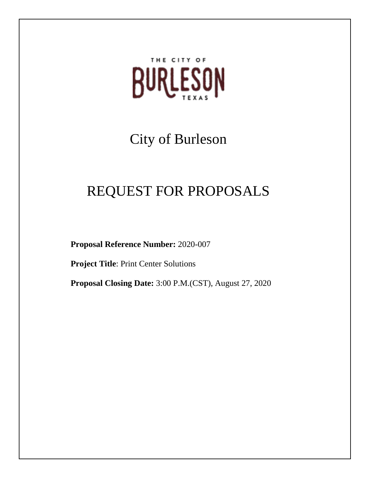

# City of Burleson

# REQUEST FOR PROPOSALS

**Proposal Reference Number:** 2020-007

**Project Title**: Print Center Solutions

**Proposal Closing Date:** 3:00 P.M.(CST), August 27, 2020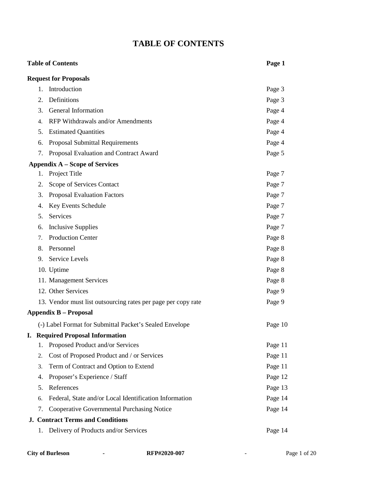### **TABLE OF CONTENTS**

### **Table of Contents Page 1**

| <b>Request for Proposals</b>                                  |         |
|---------------------------------------------------------------|---------|
| Introduction<br>1.                                            | Page 3  |
| Definitions<br>2.                                             | Page 3  |
| General Information<br>3.                                     | Page 4  |
| RFP Withdrawals and/or Amendments<br>4.                       | Page 4  |
| <b>Estimated Quantities</b><br>5.                             | Page 4  |
| Proposal Submittal Requirements<br>6.                         | Page 4  |
| Proposal Evaluation and Contract Award<br>7.                  | Page 5  |
| <b>Appendix A – Scope of Services</b>                         |         |
| Project Title<br>1.                                           | Page 7  |
| Scope of Services Contact<br>2.                               | Page 7  |
| <b>Proposal Evaluation Factors</b><br>3.                      | Page 7  |
| Key Events Schedule<br>4.                                     | Page 7  |
| Services<br>5.                                                | Page 7  |
| <b>Inclusive Supplies</b><br>6.                               | Page 7  |
| <b>Production Center</b><br>7.                                | Page 8  |
| Personnel<br>8.                                               | Page 8  |
| Service Levels<br>9.                                          | Page 8  |
| 10. Uptime                                                    | Page 8  |
| 11. Management Services                                       | Page 8  |
| 12. Other Services                                            | Page 9  |
| 13. Vendor must list outsourcing rates per page per copy rate | Page 9  |
| <b>Appendix B – Proposal</b>                                  |         |
| (-) Label Format for Submittal Packet's Sealed Envelope       | Page 10 |
| <b>I. Required Proposal Information</b>                       |         |
| 1. Proposed Product and/or Services                           | Page 11 |
| Cost of Proposed Product and / or Services<br>2.              | Page 11 |
| Term of Contract and Option to Extend<br>3.                   | Page 11 |
| Proposer's Experience / Staff<br>4.                           | Page 12 |
| References<br>5.                                              | Page 13 |
| Federal, State and/or Local Identification Information<br>6.  | Page 14 |
| <b>Cooperative Governmental Purchasing Notice</b><br>7.       | Page 14 |
| <b>J. Contract Terms and Conditions</b>                       |         |
| 1. Delivery of Products and/or Services                       | Page 14 |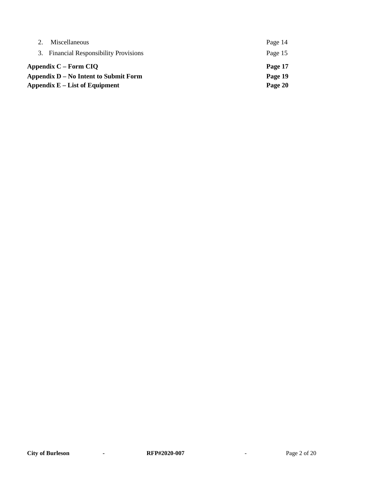| Miscellaneous                          | Page 14 |
|----------------------------------------|---------|
| 3. Financial Responsibility Provisions | Page 15 |
| Appendix C – Form CIQ                  | Page 17 |
| Appendix D – No Intent to Submit Form  | Page 19 |
| Appendix $E$ – List of Equipment       | Page 20 |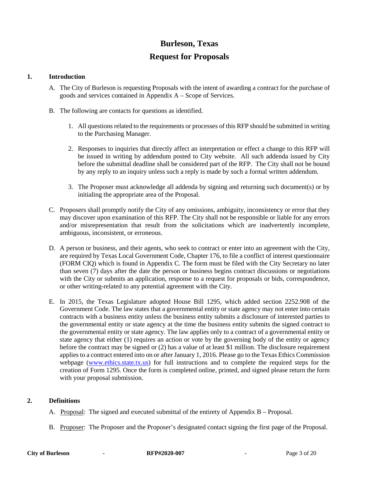### **Burleson, Texas**

### **Request for Proposals**

#### **1. Introduction**

- A. The City of Burleson is requesting Proposals with the intent of awarding a contract for the purchase of goods and services contained in Appendix A – Scope of Services.
- B. The following are contacts for questions as identified.
	- 1. All questions related to the requirements or processes of this RFP should be submitted in writing to the Purchasing Manager.
	- 2. Responses to inquiries that directly affect an interpretation or effect a change to this RFP will be issued in writing by addendum posted to City website. All such addenda issued by City before the submittal deadline shall be considered part of the RFP. The City shall not be bound by any reply to an inquiry unless such a reply is made by such a formal written addendum.
	- 3. The Proposer must acknowledge all addenda by signing and returning such document(s) or by initialing the appropriate area of the Proposal.
- C. Proposers shall promptly notify the City of any omissions, ambiguity, inconsistency or error that they may discover upon examination of this RFP. The City shall not be responsible or liable for any errors and/or misrepresentation that result from the solicitations which are inadvertently incomplete, ambiguous, inconsistent, or erroneous.
- D. A person or business, and their agents, who seek to contract or enter into an agreement with the City, are required by Texas Local Government Code, Chapter 176, to file a conflict of interest questionnaire (FORM CIQ) which is found in Appendix C. The form must be filed with the City Secretary no later than seven (7) days after the date the person or business begins contract discussions or negotiations with the City or submits an application, response to a request for proposals or bids, correspondence, or other writing-related to any potential agreement with the City.
- E. In 2015, the Texas Legislature adopted House Bill 1295, which added section 2252.908 of the Government Code. The law states that a governmental entity or state agency may not enter into certain contracts with a business entity unless the business entity submits a disclosure of interested parties to the governmental entity or state agency at the time the business entity submits the signed contract to the governmental entity or state agency. The law applies only to a contract of a governmental entity or state agency that either (1) requires an action or vote by the governing body of the entity or agency before the contract may be signed or (2) has a value of at least \$1 million. The disclosure requirement applies to a contract entered into on or after January 1, 2016. Please go to the Texas Ethics Commission webpage [\(www.ethics.state.tx.us\)](http://www.ethics.state.tx.us/) for full instructions and to complete the required steps for the creation of Form 1295. Once the form is completed online, printed, and signed please return the form with your proposal submission.

#### **2. Definitions**

- A. Proposal: The signed and executed submittal of the entirety of Appendix B Proposal.
- B. Proposer: The Proposer and the Proposer's designated contact signing the first page of the Proposal.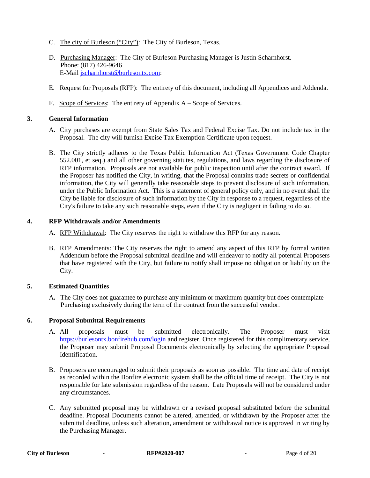- C. The city of Burleson ("City"): The City of Burleson, Texas.
- D. Purchasing Manager: The City of Burleson Purchasing Manager is Justin Scharnhorst. Phone: (817) 426-9646 E-Mail [jscharnhorst@burlesontx.com:](mailto:jscharnhorst@burlesontx.com)
- E. Request for Proposals (RFP): The entirety of this document, including all Appendices and Addenda.
- F. Scope of Services: The entirety of Appendix A Scope of Services.

#### **3. General Information**

- A. City purchases are exempt from State Sales Tax and Federal Excise Tax. Do not include tax in the Proposal. The city will furnish Excise Tax Exemption Certificate upon request.
- B. The City strictly adheres to the Texas Public Information Act (Texas Government Code Chapter 552.001, et seq.) and all other governing statutes, regulations, and laws regarding the disclosure of RFP information. Proposals are not available for public inspection until after the contract award. If the Proposer has notified the City, in writing, that the Proposal contains trade secrets or confidential information, the City will generally take reasonable steps to prevent disclosure of such information, under the Public Information Act. This is a statement of general policy only, and in no event shall the City be liable for disclosure of such information by the City in response to a request, regardless of the City's failure to take any such reasonable steps, even if the City is negligent in failing to do so.

#### **4. RFP Withdrawals and/or Amendments**

- A. RFP Withdrawal: The City reserves the right to withdraw this RFP for any reason.
- B. RFP Amendments: The City reserves the right to amend any aspect of this RFP by formal written Addendum before the Proposal submittal deadline and will endeavor to notify all potential Proposers that have registered with the City, but failure to notify shall impose no obligation or liability on the City.

#### **5. Estimated Quantities**

A**.** The City does not guarantee to purchase any minimum or maximum quantity but does contemplate Purchasing exclusively during the term of the contract from the successful vendor.

#### **6. Proposal Submittal Requirements**

- A. All proposals must be submitted electronically. The Proposer must visit <https://burlesontx.bonfirehub.com/login> and register. Once registered for this complimentary service, the Proposer may submit Proposal Documents electronically by selecting the appropriate Proposal Identification.
- B. Proposers are encouraged to submit their proposals as soon as possible. The time and date of receipt as recorded within the Bonfire electronic system shall be the official time of receipt. The City is not responsible for late submission regardless of the reason. Late Proposals will not be considered under any circumstances.
- C. Any submitted proposal may be withdrawn or a revised proposal substituted before the submittal deadline. Proposal Documents cannot be altered, amended, or withdrawn by the Proposer after the submittal deadline, unless such alteration, amendment or withdrawal notice is approved in writing by the Purchasing Manager.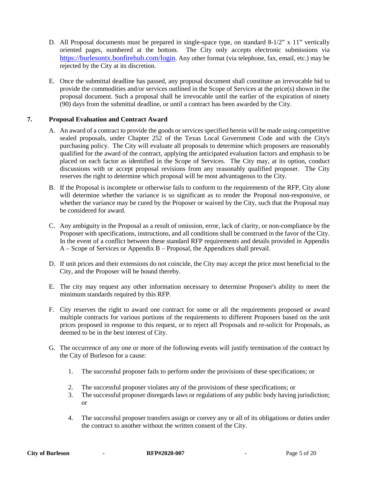- D. All Proposal documents must be prepared in single-space type, on standard  $8-1/2$ " x 11" vertically oriented pages, numbered at the bottom. The City only accepts electronic submissions via [https://burlesontx.bonfirehub.com/login.](https://burlesontx.bonfirehub.com/login) Any other format (via telephone, fax, email, etc.) may be rejected by the City at its discretion.
- E. Once the submittal deadline has passed, any proposal document shall constitute an irrevocable bid to provide the commodities and/or services outlined in the Scope of Services at the price(s) shown in the proposal document. Such a proposal shall be irrevocable until the earlier of the expiration of ninety (90) days from the submittal deadline, or until a contract has been awarded by the City.

#### **7. Proposal Evaluation and Contract Award**

- A. An award of a contract to provide the goods or services specified herein will be made using competitive sealed proposals, under Chapter 252 of the Texas Local Government Code and with the City's purchasing policy. The City will evaluate all proposals to determine which proposers are reasonably qualified for the award of the contract, applying the anticipated evaluation factors and emphasis to be placed on each factor as identified in the Scope of Services. The City may, at its option, conduct discussions with or accept proposal revisions from any reasonably qualified proposer. The City reserves the right to determine which proposal will be most advantageous to the City.
- B. If the Proposal is incomplete or otherwise fails to conform to the requirements of the RFP, City alone will determine whether the variance is so significant as to render the Proposal non-responsive, or whether the variance may be cured by the Proposer or waived by the City, such that the Proposal may be considered for award.
- C. Any ambiguity in the Proposal as a result of omission, error, lack of clarity, or non-compliance by the Proposer with specifications, instructions, and all conditions shall be construed in the favor of the City. In the event of a conflict between these standard RFP requirements and details provided in Appendix A – Scope of Services or Appendix B – Proposal, the Appendices shall prevail.
- D. If unit prices and their extensions do not coincide, the City may accept the price most beneficial to the City, and the Proposer will be bound thereby.
- E. The city may request any other information necessary to determine Proposer's ability to meet the minimum standards required by this RFP.
- F. City reserves the right to award one contract for some or all the requirements proposed or award multiple contracts for various portions of the requirements to different Proposers based on the unit prices proposed in response to this request, or to reject all Proposals and re-solicit for Proposals, as deemed to be in the best interest of City.
- G. The occurrence of any one or more of the following events will justify termination of the contract by the City of Burleson for a cause:
	- 1. The successful proposer fails to perform under the provisions of these specifications; or
	- 2. The successful proposer violates any of the provisions of these specifications; or
	- 3. The successful proposer disregards laws or regulations of any public body having jurisdiction; or
	- 4. The successful proposer transfers assign or convey any or all of its obligations or duties under the contract to another without the written consent of the City.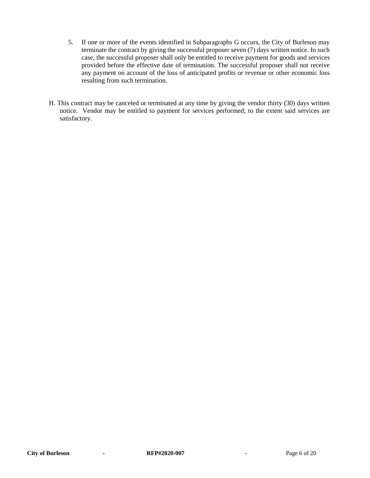- 5. If one or more of the events identified in Subparagraphs G occurs, the City of Burleson may terminate the contract by giving the successful proposer seven (7) days written notice. In such case, the successful proposer shall only be entitled to receive payment for goods and services provided before the effective date of termination. The successful proposer shall not receive any payment on account of the loss of anticipated profits or revenue or other economic loss resulting from such termination.
- H. This contract may be canceled or terminated at any time by giving the vendor thirty (30) days written notice. Vendor may be entitled to payment for services performed; to the extent said services are satisfactory.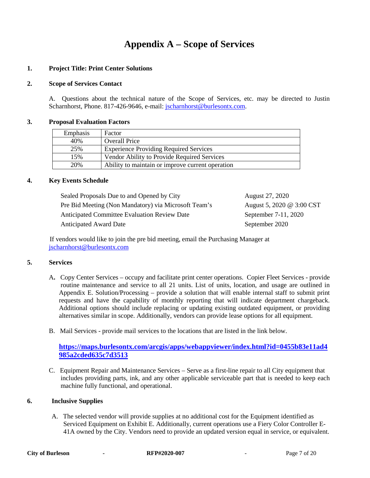### **Appendix A – Scope of Services**

#### **1. Project Title: Print Center Solutions**

#### **2. Scope of Services Contact**

A. Questions about the technical nature of the Scope of Services, etc. may be directed to Justin Scharnhorst, Phone. 817-426-9646, e-mail: [jscharnhorst@burlesontx.com.](mailto:jscharnhorst@burlesontx.com)

#### **3. Proposal Evaluation Factors**

| Emphasis | Factor                                           |
|----------|--------------------------------------------------|
| 40%      | <b>Overall Price</b>                             |
| 25%      | <b>Experience Providing Required Services</b>    |
| 15%      | Vendor Ability to Provide Required Services      |
| 20%      | Ability to maintain or improve current operation |

#### **4. Key Events Schedule**

| Sealed Proposals Due to and Opened by City           | August 27, 2020           |
|------------------------------------------------------|---------------------------|
| Pre Bid Meeting (Non Mandatory) via Microsoft Team's | August 5, 2020 @ 3:00 CST |
| <b>Anticipated Committee Evaluation Review Date</b>  | September 7-11, 2020      |
| <b>Anticipated Award Date</b>                        | September 2020            |

 If vendors would like to join the pre bid meeting, email the Purchasing Manager at [jscharnhorst@burlesontx.com](mailto:jscharnhorst@burlesontx.com)

#### **5. Services**

- A**.** Copy Center Services occupy and facilitate print center operations. Copier Fleet Services provide routine maintenance and service to all 21 units. List of units, location, and usage are outlined in Appendix E. Solution/Processing – provide a solution that will enable internal staff to submit print requests and have the capability of monthly reporting that will indicate department chargeback. Additional options should include replacing or updating existing outdated equipment, or providing alternatives similar in scope. Additionally, vendors can provide lease options for all equipment.
- B. Mail Services provide mail services to the locations that are listed in the link below.

#### **[https://maps.burlesontx.com/arcgis/apps/webappviewer/index.html?id=0455b83e11ad4](https://maps.burlesontx.com/arcgis/apps/webappviewer/index.html?id=0455b83e11ad4985a2cded635c7d3513) [985a2cded635c7d3513](https://maps.burlesontx.com/arcgis/apps/webappviewer/index.html?id=0455b83e11ad4985a2cded635c7d3513)**

C. Equipment Repair and Maintenance Services – Serve as a first-line repair to all City equipment that includes providing parts, ink, and any other applicable serviceable part that is needed to keep each machine fully functional, and operational.

#### **6. Inclusive Supplies**

A. The selected vendor will provide supplies at no additional cost for the Equipment identified as Serviced Equipment on Exhibit E. Additionally, current operations use a Fiery Color Controller E- 41A owned by the City. Vendors need to provide an updated version equal in service, or equivalent.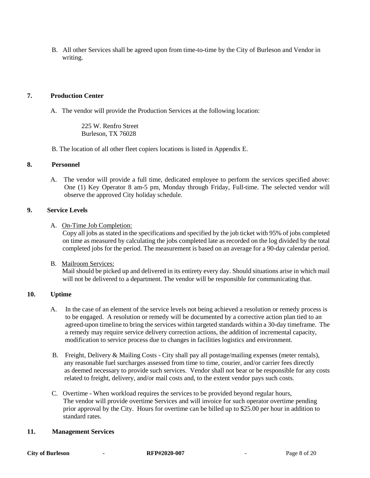B. All other Services shall be agreed upon from time-to-time by the City of Burleson and Vendor in writing.

#### **7. Production Center**

A. The vendor will provide the Production Services at the following location:

225 W. Renfro Street Burleson, TX 76028

B. The location of all other fleet copiers locations is listed in Appendix E.

#### **8. Personnel**

 A. The vendor will provide a full time, dedicated employee to perform the services specified above: One (1) Key Operator 8 am-5 pm, Monday through Friday, Full-time. The selected vendor will observe the approved City holiday schedule.

#### **9. Service Levels**

A. On-Time Job Completion:

Copy all jobs as stated in the specifications and specified by the job ticket with 95% of jobs completed on time as measured by calculating the jobs completed late as recorded on the log divided by the total completed jobs for the period. The measurement is based on an average for a 90-day calendar period.

B. Mailroom Services:

 Mail should be picked up and delivered in its entirety every day. Should situations arise in which mail will not be delivered to a department. The vendor will be responsible for communicating that.

#### **10. Uptime**

- A. In the case of an element of the service levels not being achieved a resolution or remedy process is to be engaged. A resolution or remedy will be documented by a corrective action plan tied to an agreed-upon timeline to bring the services within targeted standards within a 30-day timeframe. The a remedy may require service delivery correction actions, the addition of incremental capacity, modification to service process due to changes in facilities logistics and environment.
- B. Freight, Delivery & Mailing Costs City shall pay all postage/mailing expenses (meter rentals), any reasonable fuel surcharges assessed from time to time, courier, and/or carrier fees directly as deemed necessary to provide such services. Vendor shall not bear or be responsible for any costs related to freight, delivery, and/or mail costs and, to the extent vendor pays such costs.
- C. Overtime When workload requires the services to be provided beyond regular hours, The vendor will provide overtime Services and will invoice for such operator overtime pending prior approval by the City. Hours for overtime can be billed up to \$25.00 per hour in addition to standard rates.

#### **11. Management Services**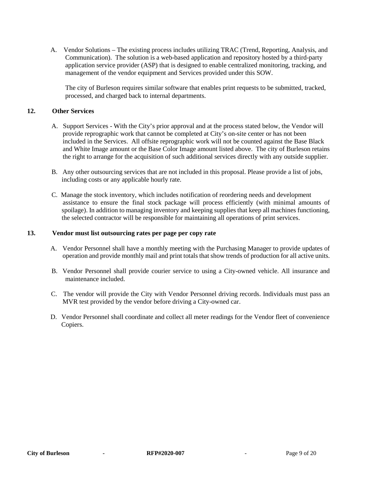A. Vendor Solutions – The existing process includes utilizing TRAC (Trend, Reporting, Analysis, and Communication). The solution is a web-based application and repository hosted by a third-party application service provider (ASP) that is designed to enable centralized monitoring, tracking, and management of the vendor equipment and Services provided under this SOW.

The city of Burleson requires similar software that enables print requests to be submitted, tracked, processed, and charged back to internal departments.

#### **12. Other Services**

- A. Support Services With the City's prior approval and at the process stated below, the Vendor will provide reprographic work that cannot be completed at City's on-site center or has not been included in the Services. All offsite reprographic work will not be counted against the Base Black and White Image amount or the Base Color Image amount listed above. The city of Burleson retains the right to arrange for the acquisition of such additional services directly with any outside supplier.
- B. Any other outsourcing services that are not included in this proposal. Please provide a list of jobs, including costs or any applicable hourly rate.
- C. Manage the stock inventory, which includes notification of reordering needs and development assistance to ensure the final stock package will process efficiently (with minimal amounts of spoilage). In addition to managing inventory and keeping supplies that keep all machines functioning, the selected contractor will be responsible for maintaining all operations of print services.

#### **13. Vendor must list outsourcing rates per page per copy rate**

- A. Vendor Personnel shall have a monthly meeting with the Purchasing Manager to provide updates of operation and provide monthly mail and print totals that show trends of production for all active units.
- B. Vendor Personnel shall provide courier service to using a City-owned vehicle. All insurance and maintenance included.
- C. The vendor will provide the City with Vendor Personnel driving records. Individuals must pass an MVR test provided by the vendor before driving a City-owned car.
- D. Vendor Personnel shall coordinate and collect all meter readings for the Vendor fleet of convenience Copiers.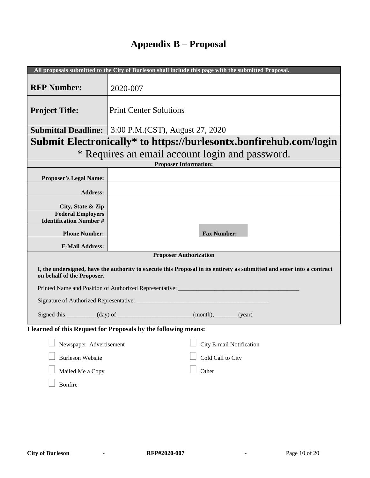## **Appendix B – Proposal**

|                                                                           | All proposals submitted to the City of Burleson shall include this page with the submitted Proposal.                                                    |  |  |  |
|---------------------------------------------------------------------------|---------------------------------------------------------------------------------------------------------------------------------------------------------|--|--|--|
| <b>RFP Number:</b>                                                        | 2020-007                                                                                                                                                |  |  |  |
| <b>Project Title:</b>                                                     | <b>Print Center Solutions</b>                                                                                                                           |  |  |  |
| <b>Submittal Deadline:</b>                                                | 3:00 P.M.(CST), August 27, 2020                                                                                                                         |  |  |  |
|                                                                           | Submit Electronically* to https://burlesontx.bonfirehub.com/login                                                                                       |  |  |  |
|                                                                           | * Requires an email account login and password.                                                                                                         |  |  |  |
|                                                                           | <b>Proposer Information:</b>                                                                                                                            |  |  |  |
| <b>Proposer's Legal Name:</b>                                             |                                                                                                                                                         |  |  |  |
| <b>Address:</b>                                                           |                                                                                                                                                         |  |  |  |
| City, State & Zip                                                         |                                                                                                                                                         |  |  |  |
| <b>Federal Employers</b>                                                  |                                                                                                                                                         |  |  |  |
| <b>Identification Number #</b>                                            |                                                                                                                                                         |  |  |  |
| <b>Phone Number:</b>                                                      | <b>Fax Number:</b>                                                                                                                                      |  |  |  |
| <b>E-Mail Address:</b>                                                    |                                                                                                                                                         |  |  |  |
|                                                                           | <b>Proposer Authorization</b><br>I, the undersigned, have the authority to execute this Proposal in its entirety as submitted and enter into a contract |  |  |  |
| on behalf of the Proposer.                                                |                                                                                                                                                         |  |  |  |
|                                                                           | Printed Name and Position of Authorized Representative: ________________________                                                                        |  |  |  |
|                                                                           |                                                                                                                                                         |  |  |  |
| Signed this _________(day) of _____________________(month), _______(year) |                                                                                                                                                         |  |  |  |
| I learned of this Request for Proposals by the following means:           |                                                                                                                                                         |  |  |  |
| City E-mail Notification<br>Newspaper Advertisement                       |                                                                                                                                                         |  |  |  |
| Cold Call to City<br><b>Burleson Website</b>                              |                                                                                                                                                         |  |  |  |
| Other<br>Mailed Me a Copy                                                 |                                                                                                                                                         |  |  |  |
| Bonfire                                                                   |                                                                                                                                                         |  |  |  |
|                                                                           |                                                                                                                                                         |  |  |  |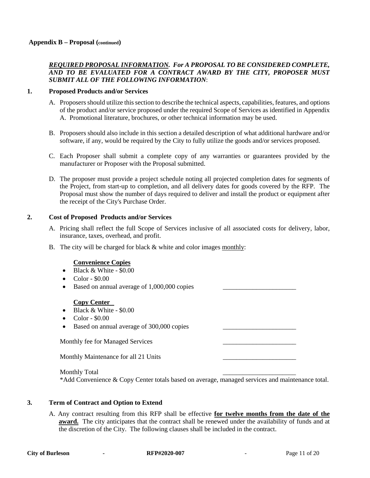#### *REQUIRED PROPOSAL INFORMATION. For A PROPOSAL TO BE CONSIDERED COMPLETE, AND TO BE EVALUATED FOR A CONTRACT AWARD BY THE CITY, PROPOSER MUST SUBMIT ALL OF THE FOLLOWING INFORMATION*:

#### **1. Proposed Products and/or Services**

- A. Proposers should utilize this section to describe the technical aspects, capabilities, features, and options of the product and/or service proposed under the required Scope of Services as identified in Appendix A. Promotional literature, brochures, or other technical information may be used.
- B. Proposers should also include in this section a detailed description of what additional hardware and/or software, if any, would be required by the City to fully utilize the goods and/or services proposed.
- C. Each Proposer shall submit a complete copy of any warranties or guarantees provided by the manufacturer or Proposer with the Proposal submitted.
- D. The proposer must provide a project schedule noting all projected completion dates for segments of the Project, from start-up to completion, and all delivery dates for goods covered by the RFP. The Proposal must show the number of days required to deliver and install the product or equipment after the receipt of the City's Purchase Order.

#### **2. Cost of Proposed Products and/or Services**

- A. Pricing shall reflect the full Scope of Services inclusive of all associated costs for delivery, labor, insurance, taxes, overhead, and profit.
- B. The city will be charged for black & white and color images monthly:

#### **Convenience Copies**

- Black & White \$0.00
- $\bullet$  Color \$0.00
- Based on annual average of 1,000,000 copies

#### **Copy Center**

- Black & White \$0.00
- $\bullet$  Color \$0.00
- Based on annual average of 300,000 copies

Monthly fee for Managed Services

Monthly Maintenance for all 21 Units

Monthly Total \*Add Convenience & Copy Center totals based on average, managed services and maintenance total.

#### **3. Term of Contract and Option to Extend**

A. Any contract resulting from this RFP shall be effective **for twelve months from the date of the**  award. The city anticipates that the contract shall be renewed under the availability of funds and at the discretion of the City. The following clauses shall be included in the contract.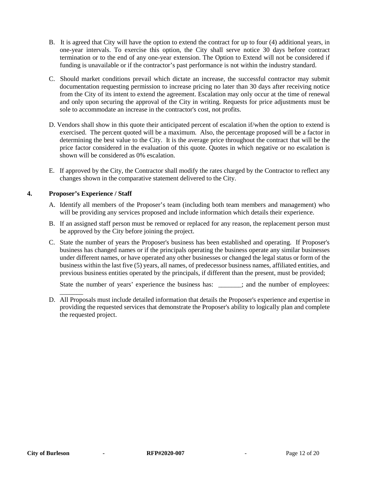- B.It is agreed that City will have the option to extend the contract for up to four (4) additional years, in one-year intervals. To exercise this option, the City shall serve notice 30 days before contract termination or to the end of any one-year extension. The Option to Extend will not be considered if funding is unavailable or if the contractor's past performance is not within the industry standard.
- C.Should market conditions prevail which dictate an increase, the successful contractor may submit documentation requesting permission to increase pricing no later than 30 days after receiving notice from the City of its intent to extend the agreement. Escalation may only occur at the time of renewal and only upon securing the approval of the City in writing. Requests for price adjustments must be sole to accommodate an increase in the contractor's cost, not profits.
- D. Vendors shall show in this quote their anticipated percent of escalation if/when the option to extend is exercised. The percent quoted will be a maximum. Also, the percentage proposed will be a factor in determining the best value to the City. It is the average price throughout the contract that will be the price factor considered in the evaluation of this quote. Quotes in which negative or no escalation is shown will be considered as 0% escalation.
- E. If approved by the City, the Contractor shall modify the rates charged by the Contractor to reflect any changes shown in the comparative statement delivered to the City.

#### **4. Proposer's Experience / Staff**

 $\overline{\phantom{a}}$ 

- A. Identify all members of the Proposer's team (including both team members and management) who will be providing any services proposed and include information which details their experience.
- B. If an assigned staff person must be removed or replaced for any reason, the replacement person must be approved by the City before joining the project.
- C. State the number of years the Proposer's business has been established and operating. If Proposer's business has changed names or if the principals operating the business operate any similar businesses under different names, or have operated any other businesses or changed the legal status or form of the business within the last five (5) years, all names, of predecessor business names, affiliated entities, and previous business entities operated by the principals, if different than the present, must be provided;

State the number of years' experience the business has: \_\_\_\_\_; and the number of employees:

D. All Proposals must include detailed information that details the Proposer's experience and expertise in providing the requested services that demonstrate the Proposer's ability to logically plan and complete the requested project.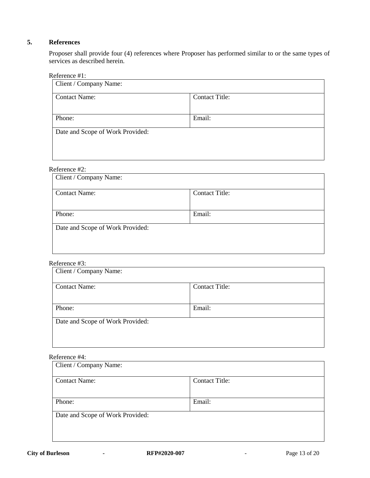#### **5. References**

Proposer shall provide four (4) references where Proposer has performed similar to or the same types of services as described herein.

Reference #1:

| Client / Company Name:           |                       |
|----------------------------------|-----------------------|
| <b>Contact Name:</b>             | <b>Contact Title:</b> |
|                                  |                       |
| Phone:                           | Email:                |
| Date and Scope of Work Provided: |                       |
|                                  |                       |
|                                  |                       |

### Reference #2:

| Client / Company Name:           |                       |  |  |  |
|----------------------------------|-----------------------|--|--|--|
| <b>Contact Name:</b>             | <b>Contact Title:</b> |  |  |  |
|                                  |                       |  |  |  |
| Phone:                           | Email:                |  |  |  |
| Date and Scope of Work Provided: |                       |  |  |  |
|                                  |                       |  |  |  |
|                                  |                       |  |  |  |

#### Reference #3:

| <b>Contact Title:</b> |
|-----------------------|
|                       |
| Email:                |
|                       |
|                       |

### Reference #4:

| Client / Company Name:           |                       |
|----------------------------------|-----------------------|
| <b>Contact Name:</b>             | <b>Contact Title:</b> |
| Phone:                           | Email:                |
| Date and Scope of Work Provided: |                       |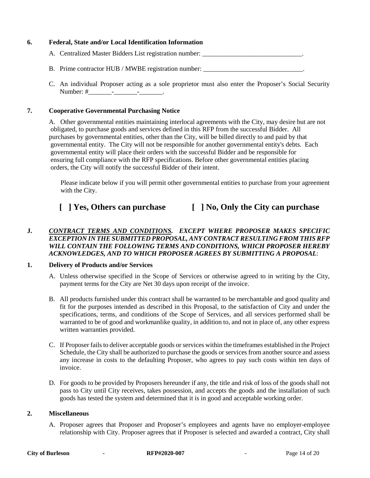#### **6. Federal, State and/or Local Identification Information**

- A. Centralized Master Bidders List registration number:
- B. Prime contractor HUB / MWBE registration number: \_\_\_\_\_\_\_\_\_\_\_\_\_\_\_\_\_\_\_\_\_\_\_\_\_\_\_\_\_
- C. An individual Proposer acting as a sole proprietor must also enter the Proposer's Social Security Number: #\_\_\_\_\_\_\_\_\_\_\_\_\_\_\_\_\_\_\_\_\_\_\_\_\_\_\_\_\_\_\_\_\_\_\_.

#### **7. Cooperative Governmental Purchasing Notice**

A. Other governmental entities maintaining interlocal agreements with the City, may desire but are not obligated, to purchase goods and services defined in this RFP from the successful Bidder. All purchases by governmental entities, other than the City, will be billed directly to and paid by that governmental entity. The City will not be responsible for another governmental entity's debts. Each governmental entity will place their orders with the successful Bidder and be responsible for ensuring full compliance with the RFP specifications. Before other governmental entities placing orders, the City will notify the successful Bidder of their intent.

 Please indicate below if you will permit other governmental entities to purchase from your agreement with the City.

### **[ ] Yes, Others can purchase [ ] No, Only the City can purchase**

#### **J.** *CONTRACT TERMS AND CONDITIONS. EXCEPT WHERE PROPOSER MAKES SPECIFIC EXCEPTION IN THE SUBMITTED PROPOSAL, ANY CONTRACT RESULTING FROM THIS RFP WILL CONTAIN THE FOLLOWING TERMS AND CONDITIONS, WHICH PROPOSER HEREBY ACKNOWLEDGES, AND TO WHICH PROPOSER AGREES BY SUBMITTING A PROPOSAL*:

#### **1. Delivery of Products and/or Services**

- A. Unless otherwise specified in the Scope of Services or otherwise agreed to in writing by the City, payment terms for the City are Net 30 days upon receipt of the invoice.
- B. All products furnished under this contract shall be warranted to be merchantable and good quality and fit for the purposes intended as described in this Proposal, to the satisfaction of City and under the specifications, terms, and conditions of the Scope of Services, and all services performed shall be warranted to be of good and workmanlike quality, in addition to, and not in place of, any other express written warranties provided.
- C. If Proposer fails to deliver acceptable goods or services within the timeframes established in the Project Schedule, the City shall be authorized to purchase the goods or services from another source and assess any increase in costs to the defaulting Proposer, who agrees to pay such costs within ten days of invoice.
- D. For goods to be provided by Proposers hereunder if any, the title and risk of loss of the goods shall not pass to City until City receives, takes possession, and accepts the goods and the installation of such goods has tested the system and determined that it is in good and acceptable working order.

#### **2. Miscellaneous**

A. Proposer agrees that Proposer and Proposer's employees and agents have no employer-employee relationship with City. Proposer agrees that if Proposer is selected and awarded a contract, City shall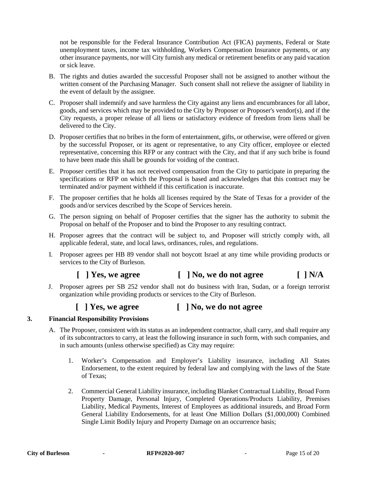not be responsible for the Federal Insurance Contribution Act (FICA) payments, Federal or State unemployment taxes, income tax withholding, Workers Compensation Insurance payments, or any other insurance payments, nor will City furnish any medical or retirement benefits or any paid vacation or sick leave.

- B. The rights and duties awarded the successful Proposer shall not be assigned to another without the written consent of the Purchasing Manager. Such consent shall not relieve the assigner of liability in the event of default by the assignee.
- C. Proposer shall indemnify and save harmless the City against any liens and encumbrances for all labor, goods, and services which may be provided to the City by Proposer or Proposer's vendor(s), and if the City requests, a proper release of all liens or satisfactory evidence of freedom from liens shall be delivered to the City.
- D. Proposer certifies that no bribes in the form of entertainment, gifts, or otherwise, were offered or given by the successful Proposer, or its agent or representative, to any City officer, employee or elected representative, concerning this RFP or any contract with the City, and that if any such bribe is found to have been made this shall be grounds for voiding of the contract.
- E. Proposer certifies that it has not received compensation from the City to participate in preparing the specifications or RFP on which the Proposal is based and acknowledges that this contract may be terminated and/or payment withheld if this certification is inaccurate.
- F. The proposer certifies that he holds all licenses required by the State of Texas for a provider of the goods and/or services described by the Scope of Services herein.
- G. The person signing on behalf of Proposer certifies that the signer has the authority to submit the Proposal on behalf of the Proposer and to bind the Proposer to any resulting contract.
- H. Proposer agrees that the contract will be subject to, and Proposer will strictly comply with, all applicable federal, state, and local laws, ordinances, rules, and regulations.
- I. Proposer agrees per HB 89 vendor shall not boycott Israel at any time while providing products or services to the City of Burleson.

### **[ ] Yes, we agree [ ] No, we do not agree [ ] N/A**

J. Proposer agrees per SB 252 vendor shall not do business with Iran, Sudan, or a foreign terrorist organization while providing products or services to the City of Burleson.

### **[ ] Yes, we agree [ ] No, we do not agree**

#### **3. Financial Responsibility Provisions**

- A. The Proposer, consistent with its status as an independent contractor, shall carry, and shall require any of its subcontractors to carry, at least the following insurance in such form, with such companies, and in such amounts (unless otherwise specified) as City may require:
	- 1. Worker's Compensation and Employer's Liability insurance, including All States Endorsement, to the extent required by federal law and complying with the laws of the State of Texas;
	- 2. Commercial General Liability insurance, including Blanket Contractual Liability, Broad Form Property Damage, Personal Injury, Completed Operations/Products Liability, Premises Liability, Medical Payments, Interest of Employees as additional insureds, and Broad Form General Liability Endorsements, for at least One Million Dollars (\$1,000,000) Combined Single Limit Bodily Injury and Property Damage on an occurrence basis;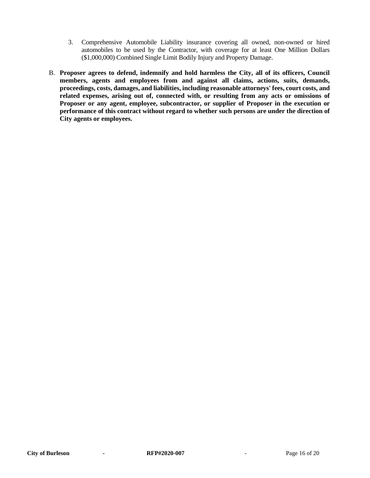- 3. Comprehensive Automobile Liability insurance covering all owned, non-owned or hired automobiles to be used by the Contractor, with coverage for at least One Million Dollars (\$1,000,000) Combined Single Limit Bodily Injury and Property Damage.
- B. **Proposer agrees to defend, indemnify and hold harmless the City, all of its officers, Council members, agents and employees from and against all claims, actions, suits, demands, proceedings, costs, damages, and liabilities, including reasonable attorneys' fees, court costs, and related expenses, arising out of, connected with, or resulting from any acts or omissions of Proposer or any agent, employee, subcontractor, or supplier of Proposer in the execution or performance of this contract without regard to whether such persons are under the direction of City agents or employees.**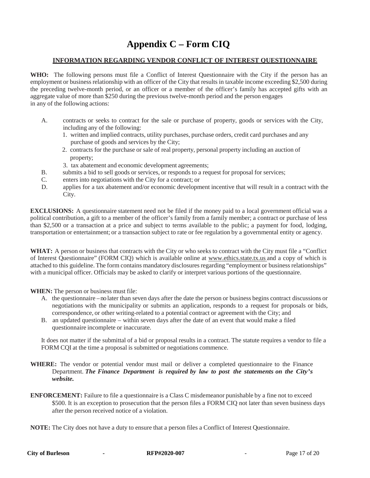### **Appendix C – Form CIQ**

#### **INFORMATION REGARDING VENDOR CONFLICT OF INTEREST QUESTIONNAIRE**

**WHO:** The following persons must file a Conflict of Interest Questionnaire with the City if the person has an employment or business relationship with an officer of the City that results in taxable income exceeding \$2,500 during the preceding twelve-month period, or an officer or a member of the officer's family has accepted gifts with an aggregate value of more than \$250 during the previous twelve-month period and the person engages in any of the following actions:

- A. contracts or seeks to contract for the sale or purchase of property, goods or services with the City, including any of the following:
	- 1. written and implied contracts, utility purchases, purchase orders, credit card purchases and any purchase of goods and services by the City;
	- 2. contracts for the purchase or sale of real property, personal property including an auction of property;
	- 3. tax abatement and economic development agreements;
- B. submits a bid to sell goods or services, or responds to a request for proposal for services;
- C. enters into negotiations with the City for a contract; or
- D. applies for a tax abatement and/or economic development incentive that will result in a contract with the City.

**EXCLUSIONS:** A questionnaire statement need not be filed if the money paid to a local government official was a political contribution, a gift to a member of the officer's family from a family member; a contract or purchase of less than \$2,500 or a transaction at a price and subject to terms available to the public; a payment for food, lodging, transportation or entertainment; or a transaction subject to rate or fee regulation by a governmental entity or agency.

**WHAT:** A person or business that contracts with the City or who seeks to contract with the City must file a "Conflict of Interest Questionnaire" (FORM CIQ) which is available online at [www.ethics.state.tx.us](http://www.ethics.state.tx.us/) and a copy of which is attached to this guideline. The form contains mandatory disclosures regarding "employment or business relationships" with a municipal officer. Officials may be asked to clarify or interpret various portions of the questionnaire.

**WHEN:** The person or business must file:

- A. the questionnaire –no later than seven days after the date the person or business begins contract discussions or negotiations with the municipality or submits an application, responds to a request for proposals or bids, correspondence, or other writing-related to a potential contract or agreement with the City; and
- B. an updated questionnaire within seven days after the date of an event that would make a filed questionnaire incomplete or inaccurate.

It does not matter if the submittal of a bid or proposal results in a contract. The statute requires a vendor to file a FORM CQI at the time a proposal is submitted or negotiations commence.

- **WHERE:** The vendor or potential vendor must mail or deliver a completed questionnaire to the Finance Department. *The Finance Department is required by law to post the statements on the City's website.*
- **ENFORCEMENT:** Failure to file a questionnaire is a Class C misdemeanor punishable by a fine not to exceed \$500. It is an exception to prosecution that the person files a FORM CIQ not later than seven business days after the person received notice of a violation.
- **NOTE:** The City does not have a duty to ensure that a person files a Conflict of Interest Questionnaire.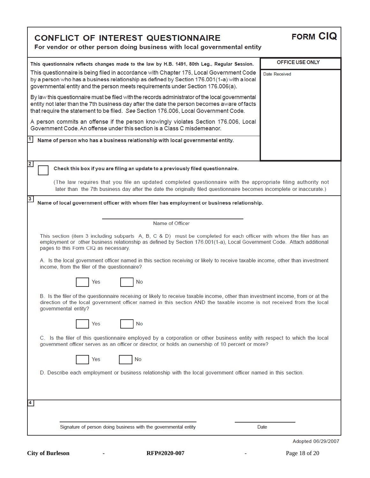| <b>CONFLICT OF INTEREST QUESTIONNAIRE</b><br>For vendor or other person doing business with local governmental entity                                                                                                                                                                  | <b>FORM CIQ</b>    |  |  |  |
|----------------------------------------------------------------------------------------------------------------------------------------------------------------------------------------------------------------------------------------------------------------------------------------|--------------------|--|--|--|
| This questionnaire reflects changes made to the law by H.B. 1491, 80th Leg., Regular Session.                                                                                                                                                                                          | OFFICE USE ONLY    |  |  |  |
| This questionnaire is being filed in accordance with Chapter 176, Local Government Code<br>by a person who has a business relationship as defined by Section 176.001(1-a) with a local<br>governmental entity and the person meets requirements under Section 176.006(a).              | Date Received      |  |  |  |
| By law this questionnaire must be filed with the records administrator of the local governmental<br>entity not later than the 7th business day after the date the person becomes aware of facts<br>that require the statement to be filed. See Section 176.006, Local Government Code. |                    |  |  |  |
| A person commits an offense if the person knowingly violates Section 176.006, Local<br>Government Code, An offense under this section is a Class C misdemeanor.                                                                                                                        |                    |  |  |  |
| 1  <br>Name of person who has a business relationship with local governmental entity.                                                                                                                                                                                                  |                    |  |  |  |
| $\overline{\mathbf{2}}$<br>Check this box if you are filing an update to a previously filed questionnaire.                                                                                                                                                                             |                    |  |  |  |
| (The law requires that you file an updated completed questionnaire with the appropriate filing authority not<br>later than the 7th business day after the date the originally filed questionnaire becomes incomplete or inaccurate.)                                                   |                    |  |  |  |
| $\mathbf{3}$<br>Name of local government officer with whom filer has employment or business relationship.                                                                                                                                                                              |                    |  |  |  |
| Name of Officer                                                                                                                                                                                                                                                                        |                    |  |  |  |
| This section (item 3 including subparts A, B, C & D) must be completed for each officer with whom the filer has an<br>employment or other business relationship as defined by Section 176.001(1-a), Local Government Code. Attach additional<br>pages to this Form CIQ as necessary.   |                    |  |  |  |
| A. Is the local government officer named in this section receiving or likely to receive taxable income, other than investment<br>income, from the filer of the questionnaire?                                                                                                          |                    |  |  |  |
| <b>No</b><br>Yes                                                                                                                                                                                                                                                                       |                    |  |  |  |
| B. Is the filer of the questionnaire receiving or likely to receive taxable income, other than investment income, from or at the<br>direction of the local government officer named in this section AND the taxable income is not received from the local<br>governmental entity?      |                    |  |  |  |
| No<br>Yes                                                                                                                                                                                                                                                                              |                    |  |  |  |
| C. Is the filer of this questionnaire employed by a corporation or other business entity with respect to which the local<br>government officer serves as an officer or director, or holds an ownership of 10 percent or more?                                                          |                    |  |  |  |
| Yes<br>No                                                                                                                                                                                                                                                                              |                    |  |  |  |
| D. Describe each employment or business relationship with the local government officer named in this section.                                                                                                                                                                          |                    |  |  |  |
|                                                                                                                                                                                                                                                                                        |                    |  |  |  |
| 4                                                                                                                                                                                                                                                                                      |                    |  |  |  |
| Signature of person doing business with the governmental entity                                                                                                                                                                                                                        | Date               |  |  |  |
|                                                                                                                                                                                                                                                                                        | Adopted 06/29/2007 |  |  |  |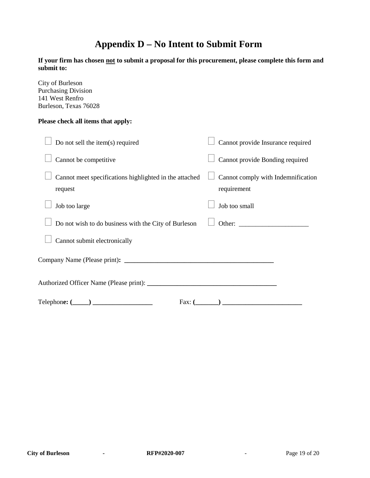### **Appendix D – No Intent to Submit Form**

**If your firm has chosen not to submit a proposal for this procurement, please complete this form and submit to:**

City of Burleson Purchasing Division 141 West Renfro Burleson, Texas 76028

#### **Please check all items that apply:**

| Do not sell the item(s) required                                  | Cannot provide Insurance required                 |
|-------------------------------------------------------------------|---------------------------------------------------|
| Cannot be competitive                                             | Cannot provide Bonding required                   |
| Cannot meet specifications highlighted in the attached<br>request | Cannot comply with Indemnification<br>requirement |
| Job too large                                                     | Job too small                                     |
| Do not wish to do business with the City of Burleson              | Other:                                            |
| Cannot submit electronically                                      |                                                   |
|                                                                   |                                                   |
|                                                                   |                                                   |
| $\text{Telephone: } (\_\_\_\_\_\_\_\_\_\_\$                       | Fax: (                                            |